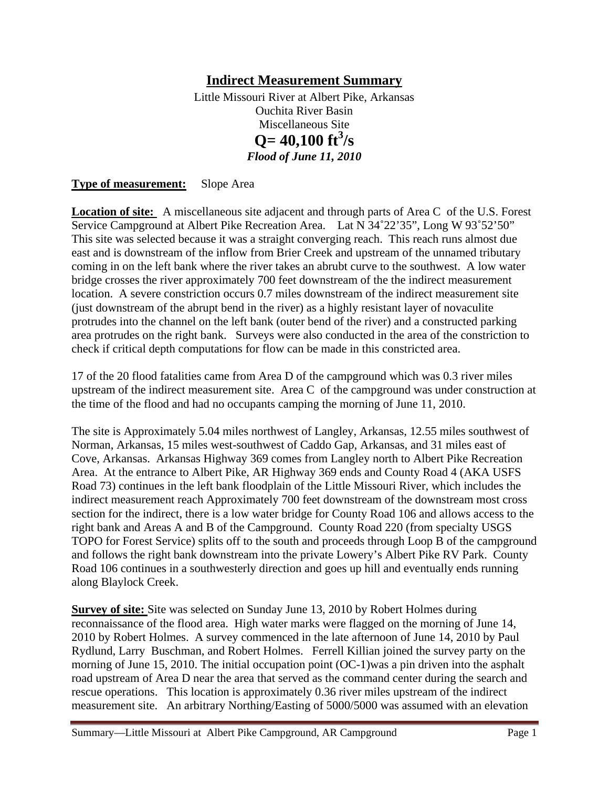# **Indirect Measurement Summary**

Little Missouri River at Albert Pike, Arkansas Ouchita River Basin Miscellaneous Site  $Q = 40,100 \text{ ft}^3/\text{s}$ *Flood of June 11, 2010* 

**Type of measurement:** Slope Area

**Location of site:** A miscellaneous site adjacent and through parts of Area C of the U.S. Forest Service Campground at Albert Pike Recreation Area. Lat N 34˚22'35", Long W 93˚52'50" This site was selected because it was a straight converging reach. This reach runs almost due east and is downstream of the inflow from Brier Creek and upstream of the unnamed tributary coming in on the left bank where the river takes an abrubt curve to the southwest. A low water bridge crosses the river approximately 700 feet downstream of the the indirect measurement location. A severe constriction occurs 0.7 miles downstream of the indirect measurement site (just downstream of the abrupt bend in the river) as a highly resistant layer of novaculite protrudes into the channel on the left bank (outer bend of the river) and a constructed parking area protrudes on the right bank. Surveys were also conducted in the area of the constriction to check if critical depth computations for flow can be made in this constricted area.

17 of the 20 flood fatalities came from Area D of the campground which was 0.3 river miles upstream of the indirect measurement site. Area C of the campground was under construction at the time of the flood and had no occupants camping the morning of June 11, 2010.

The site is Approximately 5.04 miles northwest of Langley, Arkansas, 12.55 miles southwest of Norman, Arkansas, 15 miles west-southwest of Caddo Gap, Arkansas, and 31 miles east of Cove, Arkansas. Arkansas Highway 369 comes from Langley north to Albert Pike Recreation Area. At the entrance to Albert Pike, AR Highway 369 ends and County Road 4 (AKA USFS Road 73) continues in the left bank floodplain of the Little Missouri River, which includes the indirect measurement reach Approximately 700 feet downstream of the downstream most cross section for the indirect, there is a low water bridge for County Road 106 and allows access to the right bank and Areas A and B of the Campground. County Road 220 (from specialty USGS TOPO for Forest Service) splits off to the south and proceeds through Loop B of the campground and follows the right bank downstream into the private Lowery's Albert Pike RV Park. County Road 106 continues in a southwesterly direction and goes up hill and eventually ends running along Blaylock Creek.

**Survey of site:** Site was selected on Sunday June 13, 2010 by Robert Holmes during reconnaissance of the flood area. High water marks were flagged on the morning of June 14, 2010 by Robert Holmes. A survey commenced in the late afternoon of June 14, 2010 by Paul Rydlund, Larry Buschman, and Robert Holmes. Ferrell Killian joined the survey party on the morning of June 15, 2010. The initial occupation point (OC-1)was a pin driven into the asphalt road upstream of Area D near the area that served as the command center during the search and rescue operations. This location is approximately 0.36 river miles upstream of the indirect measurement site. An arbitrary Northing/Easting of 5000/5000 was assumed with an elevation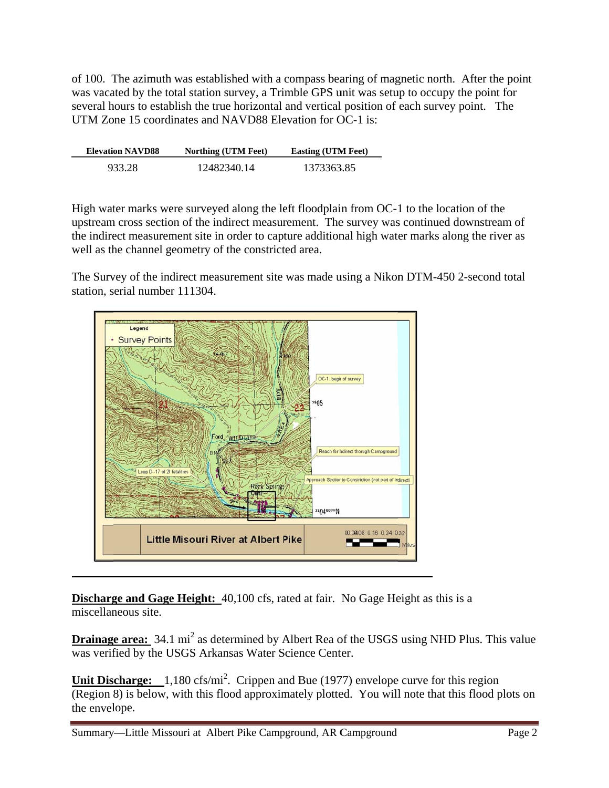of 100. The azimuth was established with a compass bearing of magnetic north. After the point was vacated by the total station survey, a Trimble GPS unit was setup to occupy the point for several hours to establish the true horizontal and vertical position of each survey point. The UTM Zone 15 coordinates and NAVD88 Elevation for OC-1 is:

| <b>Elevation NAVD88</b> | <b>Northing (UTM Feet)</b> | <b>Easting (UTM Feet)</b> |
|-------------------------|----------------------------|---------------------------|
| 933.28                  | 12482340.14                | 1373363.85                |

High water marks were surveyed along the left floodplain from OC-1 to the location of the upstream cross section of the indirect measurement. The survey was continued downstream the indirect measurement site in order to capture additional high water marks along the river as well as the channel geometry of the constricted area. he<br>b<br>m of

The Survey of the indirect measurement site was made using a Nikon DTM-450 2-second total station, s erial numbe r 111304.



**Discharge and Gage Height:** 40,100 cfs, rated at fair. No Gage Height as this is a miscellaneous site.

**Drainage area:** 34.1 mi<sup>2</sup> as determined by Albert Rea of the USGS using NHD Plus. This value was verified by the USGS Arkansas Water Science Center.

**Unit Discharge:** 1,180 cfs/mi<sup>2</sup>. Crippen and Bue (1977) envelope curve for this region (Region 8) is below, with this flood approximately plotted. You will note that this flood plots on the envelope.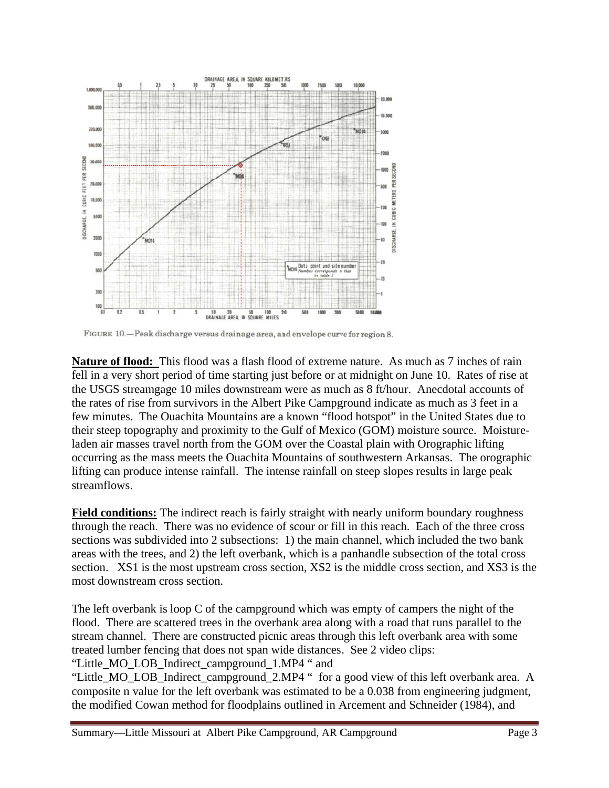

FIGURE 10. - Peak discharge versus drainage area, and envelope curve for region 8.

Nature of flood: This flood was a flash flood of extreme nature. As much as 7 inches of rain fell in a very short period of time starting just before or at midnight on June 10. Rates of rise at the USGS streamgage 10 miles downstream were as much as 8 ft/hour. Anecdotal accounts of the rates of rise from survivors in the Albert Pike Campground indicate as much as 3 feet in a few minutes. The Ouachita Mountains are a known "flood hotspot" in the United States due to their steep topography and proximity to the Gulf of Mexico (GOM) moisture source. Moistureladen air masses travel north from the GOM over the Coastal plain with Orographic lifting occurring as the mass meets the Ouachita Mountains of southwestern Arkansas. The orographic lifting can produce intense rainfall. The intense rainfall on steep slopes results in large peak streamflows. Field conditions: The indirect reach is fairly straight with nearly uniform boundary roughness<br>
Field conditions: The indirect reach is fairly straight with nearly uniform boundary roughness

through the reach. There was no evidence of scour or fill in this reach. Each of the three cross sections was subdivided into 2 subsections: 1) the main channel, which included the two bank areas with the trees, and 2) the left overbank, which is a panhandle subsection of the total cross section. XS1 is the most upstream cross section, XS2 is the middle cross section, and XS3 is the most downstream cross section.

The left overbank is loop  $C$  of the campground which was empty of campers the night of the The left overbank is loop C of the campground which was empty of campers the night of the flood. There are scattered trees in the overbank area along with a road that runs parallel to the stream channel. There are constructed picnic areas through this left overbank area with some treated lumber fencing that does not span wide distances. See 2 video clips:

"Little\_MO\_LOB\_Indirect\_campground\_1.MP4 " and

"Little\_MO\_LOB\_Indirect\_campground\_2.MP4 " for a good view of this left overbank area. A composite n value for the left overbank was estimated to be a 0.038 from engineering judgment, the modified Cowan method for floodplains outlined in Arcement and Schneider (1984), and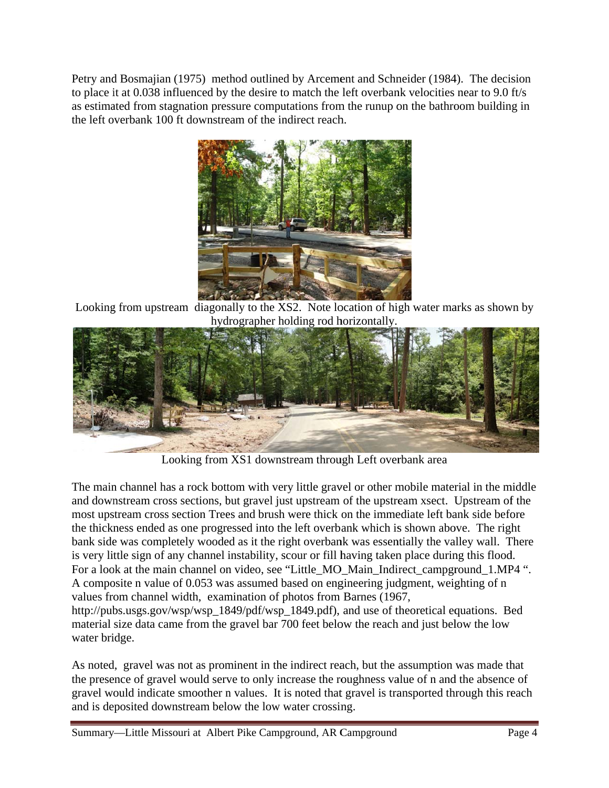Petry and Bosmajian (1975) method outlined by Arcement and Schneider (1984). The decision to place it at 0.038 influenced by the desire to match the left overbank velocities near to 9.0 ft/s as estimated from stagnation pressure computations from the runup on the bathroom building in the left overbank 100 ft downstream of the indirect reach.



Looking from upstream diagonally to the XS2. Note location of high water marks as shown by hyd drographer h olding rod h horizontally.



Looking from XS1 downstream through Left overbank area

The main channel has a rock bottom with very little gravel or other mobile material in the middle and downstream cross sections, but gravel just upstream of the upstream xsect. Upstream of the most upstream cross section Trees and brush were thick on the immediate left bank side before the thickness ended as one progressed into the left overbank which is shown above. The right bank side was completely wooded as it the right overbank was essentially the valley wall. There is very little sign of any channel instability, scour or fill having taken place during this flood. For a look at the main channel on video, see "Little\_MO\_Main\_Indirect\_campground\_1.MP4". A composite n value of 0.053 was assumed based on engineering judgment, weighting of n values from channel width, examination of photos from Barnes (1967, http://pubs.usgs.gov/wsp/wsp\_1849/pdf/wsp\_1849.pdf), and use of theoretical equations. Bed

material size data came from the gravel bar 700 feet below the reach and just below the low water bridge.

As noted, gravel was not as prominent in the indirect reach, but the assumption was made that the presence of gravel would serve to only increase the roughness value of n and the absence of gravel would indicate smoother n values. It is noted that gravel is transported through this reach and is deposited downstream below the low water crossing.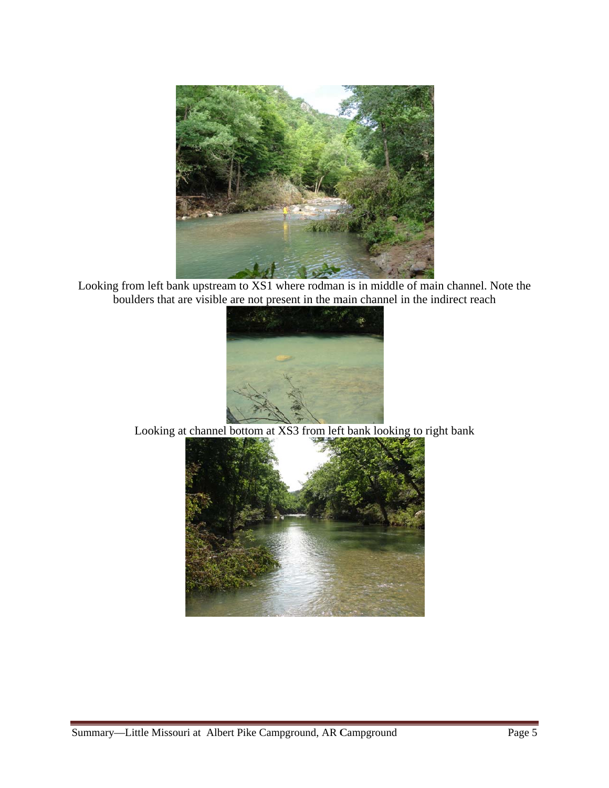

Looking from left bank upstream to XS1 where rodman is in middle of main channel. Note the boulders that are visible are not present in the main channel in the indirect reach



Looking at channel bottom at XS3 from left bank looking to right bank

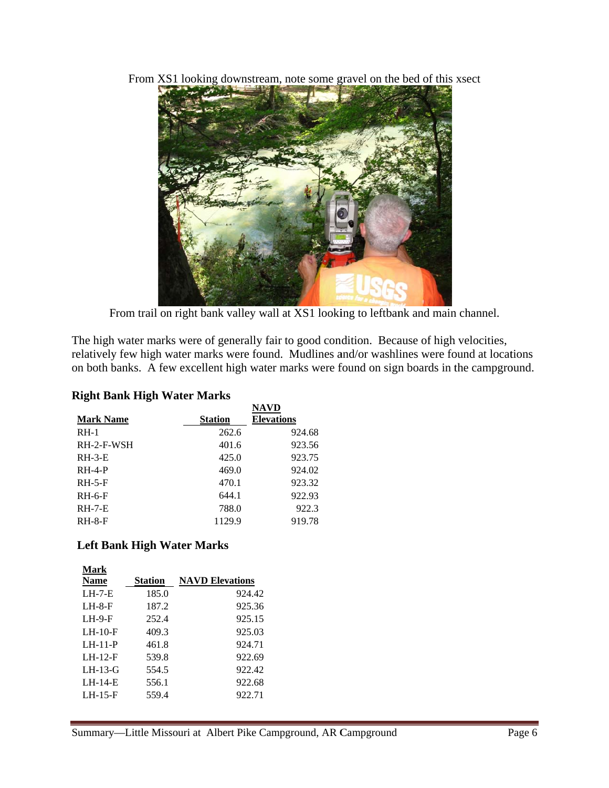From XS1 looking downstream, note some gravel on the bed of this xsect



From trail on right bank valley wall at XS1 looking to leftbank and main channel.

The high water marks were of generally fair to good condition. Because of high velocities, relatively few high water marks were found. Mudlines and/or washlines were found at locations on both banks. A few excellent high water marks were found on sign boards in the campground.

# **Right Ba ank High W Water Marks**

| Right Bank High Water Marks |                |                   |  |  |  |  |  |  |
|-----------------------------|----------------|-------------------|--|--|--|--|--|--|
|                             |                | <b>NAVD</b>       |  |  |  |  |  |  |
| <b>Mark Name</b>            | <b>Station</b> | <b>Elevations</b> |  |  |  |  |  |  |
| $RH-1$                      | 262.6          | 924.68            |  |  |  |  |  |  |
| RH-2-F-WSH                  | 401.6          | 923.56            |  |  |  |  |  |  |
| $RH-3-E$                    | 425.0          | 923.75            |  |  |  |  |  |  |
| $RH-4-P$                    | 469.0          | 924.02            |  |  |  |  |  |  |
| $RH-5-F$                    | 470.1          | 923.32            |  |  |  |  |  |  |
| $RH-6-F$                    | 644.1          | 922.93            |  |  |  |  |  |  |
| $RH-7-E$                    | 788.0          | 922.3             |  |  |  |  |  |  |
| $RH-8-F$                    | 1129.9         | 919.78            |  |  |  |  |  |  |

### **Left Ba ank High W Water Marks**

|                     |                | Left Bank High Water Marks |
|---------------------|----------------|----------------------------|
| Mark<br><b>Name</b> | <b>Station</b> | <b>NAVD Elevations</b>     |
| $LH-7-E$            | 185.0          | 924.42                     |
| $LH-8-F$            | 187.2          | 925.36                     |
| $LH-9-F$            | 252.4          | 925.15                     |
| $LH-10-F$           | 409.3          | 925.03                     |
| $LH-11-P$           | 461.8          | 924.71                     |
| $LH-12-F$           | 539.8          | 922.69                     |
| $LH-13-G$           | 554.5          | 922.42                     |
| $LH-14-E$           | 556.1          | 922.68                     |
| $LH-15-F$           | 559.4          | 922.71                     |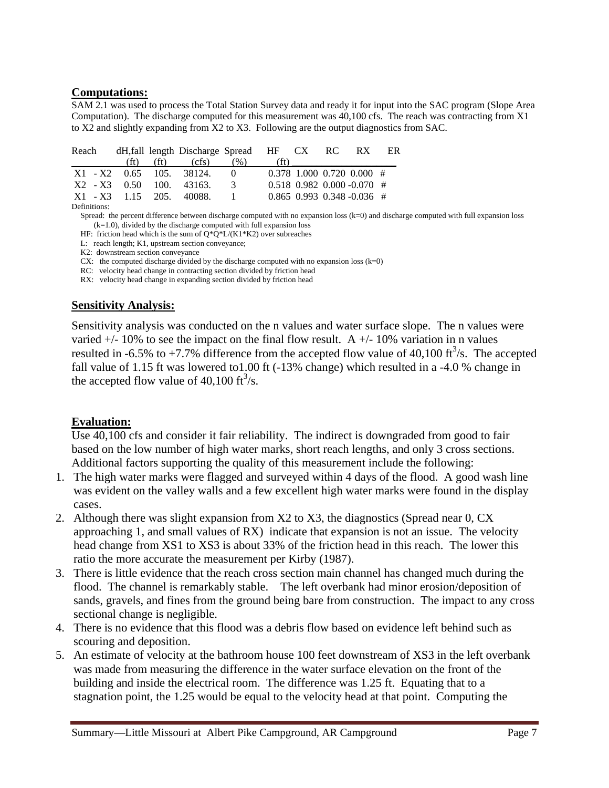#### **Computations:**

SAM 2.1 was used to process the Total Station Survey data and ready it for input into the SAC program (Slope Area Computation). The discharge computed for this measurement was 40,100 cfs. The reach was contracting from X1 to X2 and slightly expanding from X2 to X3. Following are the output diagnostics from SAC.

|                            |  | Reach dH, fall length Discharge Spread HF CX RC RX ER |                 |                   |  |                              |  |
|----------------------------|--|-------------------------------------------------------|-----------------|-------------------|--|------------------------------|--|
|                            |  | (ft) (ft) (cfs) $(\%)$                                |                 | (f <sup>†</sup> ) |  |                              |  |
|                            |  | X1 - X2 0.65 105 38124 0                              |                 |                   |  | $0.378$ 1.000 0.720 0.000 #  |  |
| $X2 - X3$ 0.50 100, 43163, |  |                                                       | $\mathcal{R}$   |                   |  | $0.518$ 0.982 0.000 -0.070 # |  |
| X1 - X3 1.15 205 40088     |  |                                                       | $\sim$ 1 $\sim$ |                   |  | $0.865$ 0.993 0.348 -0.036 # |  |
| Definitional               |  |                                                       |                 |                   |  |                              |  |

Definitions:

Spread: the percent difference between discharge computed with no expansion loss (k=0) and discharge computed with full expansion loss  $(k=1.0)$ , divided by the discharge computed with full expansion loss

HF: friction head which is the sum of  $Q^*Q^*L/(K1*K2)$  over subreaches

L: reach length; K1, upstream section conveyance;

K2: downstream section conveyance

CX: the computed discharge divided by the discharge computed with no expansion loss  $(k=0)$ 

RC: velocity head change in contracting section divided by friction head

RX: velocity head change in expanding section divided by friction head

#### **Sensitivity Analysis:**

Sensitivity analysis was conducted on the n values and water surface slope. The n values were varied  $+/- 10\%$  to see the impact on the final flow result. A  $+/- 10\%$  variation in n values resulted in -6.5% to +7.7% difference from the accepted flow value of 40,100 ft<sup>3</sup>/s. The accepted fall value of 1.15 ft was lowered to 1.00 ft (-13% change) which resulted in a -4.0 % change in the accepted flow value of 40,100 ft<sup>3</sup>/s.

### **Evaluation:**

Use 40,100 cfs and consider it fair reliability. The indirect is downgraded from good to fair based on the low number of high water marks, short reach lengths, and only 3 cross sections. Additional factors supporting the quality of this measurement include the following:

- 1. The high water marks were flagged and surveyed within 4 days of the flood. A good wash line was evident on the valley walls and a few excellent high water marks were found in the display cases.
- 2. Although there was slight expansion from X2 to X3, the diagnostics (Spread near 0, CX approaching 1, and small values of RX) indicate that expansion is not an issue. The velocity head change from XS1 to XS3 is about 33% of the friction head in this reach. The lower this ratio the more accurate the measurement per Kirby (1987).
- 3. There is little evidence that the reach cross section main channel has changed much during the flood. The channel is remarkably stable. The left overbank had minor erosion/deposition of sands, gravels, and fines from the ground being bare from construction. The impact to any cross sectional change is negligible.
- 4. There is no evidence that this flood was a debris flow based on evidence left behind such as scouring and deposition.
- 5. An estimate of velocity at the bathroom house 100 feet downstream of XS3 in the left overbank was made from measuring the difference in the water surface elevation on the front of the building and inside the electrical room. The difference was 1.25 ft. Equating that to a stagnation point, the 1.25 would be equal to the velocity head at that point. Computing the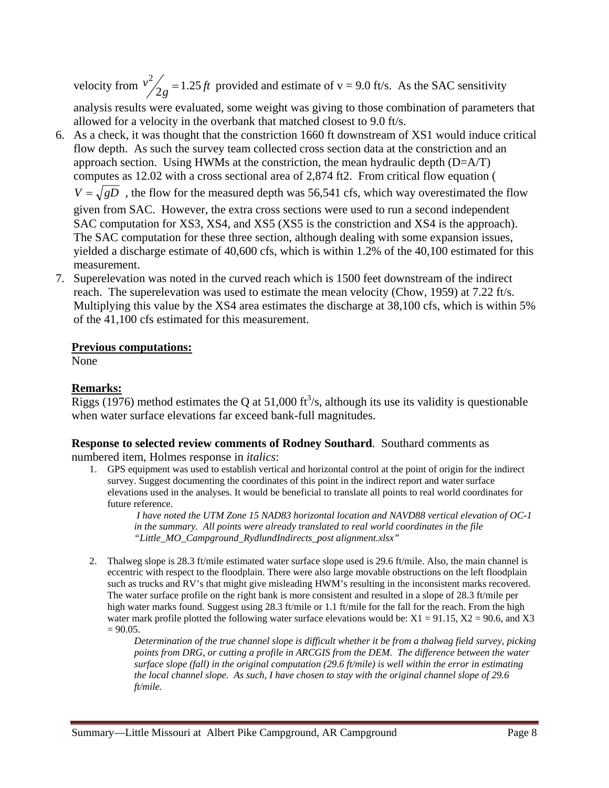velocity from  $v^2/2g = 1.25 \text{ ft}$  provided and estimate of v = 9.0 ft/s. As the SAC sensitivity analysis results were evaluated, some weight was giving to those combination of parameters that

allowed for a velocity in the overbank that matched closest to 9.0 ft/s. 6. As a check, it was thought that the constriction 1660 ft downstream of XS1 would induce critical

- flow depth. As such the survey team collected cross section data at the constriction and an approach section. Using HWMs at the constriction, the mean hydraulic depth (D=A/T) computes as 12.02 with a cross sectional area of 2,874 ft2. From critical flow equation (  $V = \sqrt{gD}$ , the flow for the measured depth was 56,541 cfs, which way overestimated the flow given from SAC. However, the extra cross sections were used to run a second independent SAC computation for XS3, XS4, and XS5 (XS5 is the constriction and XS4 is the approach). The SAC computation for these three section, although dealing with some expansion issues, yielded a discharge estimate of 40,600 cfs, which is within 1.2% of the 40,100 estimated for this measurement.
- 7. Superelevation was noted in the curved reach which is 1500 feet downstream of the indirect reach. The superelevation was used to estimate the mean velocity (Chow, 1959) at 7.22 ft/s. Multiplying this value by the XS4 area estimates the discharge at 38,100 cfs, which is within 5% of the 41,100 cfs estimated for this measurement.

#### **Previous computations:**

None

## **Remarks:**

Riggs (1976) method estimates the Q at 51,000 ft<sup>3</sup>/s, although its use its validity is questionable when water surface elevations far exceed bank-full magnitudes.

# **Response to selected review comments of Rodney Southard**. Southard comments as

numbered item, Holmes response in *italics*:

1. GPS equipment was used to establish vertical and horizontal control at the point of origin for the indirect survey. Suggest documenting the coordinates of this point in the indirect report and water surface elevations used in the analyses. It would be beneficial to translate all points to real world coordinates for future reference.

 *I have noted the UTM Zone 15 NAD83 horizontal location and NAVD88 vertical elevation of OC-1 in the summary. All points were already translated to real world coordinates in the file "Little\_MO\_Campground\_RydlundIndirects\_post alignment.xlsx"* 

2. Thalweg slope is 28.3 ft/mile estimated water surface slope used is 29.6 ft/mile. Also, the main channel is eccentric with respect to the floodplain. There were also large movable obstructions on the left floodplain such as trucks and RV's that might give misleading HWM's resulting in the inconsistent marks recovered. The water surface profile on the right bank is more consistent and resulted in a slope of 28.3 ft/mile per high water marks found. Suggest using 28.3 ft/mile or 1.1 ft/mile for the fall for the reach. From the high water mark profile plotted the following water surface elevations would be:  $X1 = 91.15$ ,  $X2 = 90.6$ , and X3  $= 90.05.$ 

*Determination of the true channel slope is difficult whether it be from a thalwag field survey, picking points from DRG, or cutting a profile in ARCGIS from the DEM. The difference between the water surface slope (fall) in the original computation (29.6 ft/mile) is well within the error in estimating the local channel slope. As such, I have chosen to stay with the original channel slope of 29.6 ft/mile.*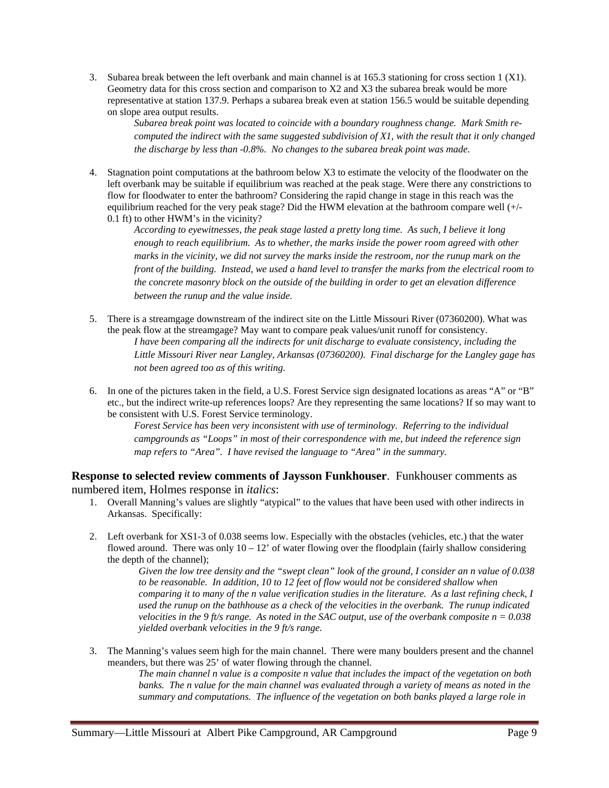3. Subarea break between the left overbank and main channel is at 165.3 stationing for cross section 1 (X1). Geometry data for this cross section and comparison to X2 and X3 the subarea break would be more representative at station 137.9. Perhaps a subarea break even at station 156.5 would be suitable depending on slope area output results.

*Subarea break point was located to coincide with a boundary roughness change. Mark Smith recomputed the indirect with the same suggested subdivision of X1, with the result that it only changed the discharge by less than -0.8%. No changes to the subarea break point was made.* 

4. Stagnation point computations at the bathroom below X3 to estimate the velocity of the floodwater on the left overbank may be suitable if equilibrium was reached at the peak stage. Were there any constrictions to flow for floodwater to enter the bathroom? Considering the rapid change in stage in this reach was the equilibrium reached for the very peak stage? Did the HWM elevation at the bathroom compare well (+/- 0.1 ft) to other HWM's in the vicinity?

*According to eyewitnesses, the peak stage lasted a pretty long time. As such, I believe it long enough to reach equilibrium. As to whether, the marks inside the power room agreed with other marks in the vicinity, we did not survey the marks inside the restroom, nor the runup mark on the front of the building. Instead, we used a hand level to transfer the marks from the electrical room to the concrete masonry block on the outside of the building in order to get an elevation difference between the runup and the value inside.* 

- 5. There is a streamgage downstream of the indirect site on the Little Missouri River (07360200). What was the peak flow at the streamgage? May want to compare peak values/unit runoff for consistency. *I have been comparing all the indirects for unit discharge to evaluate consistency, including the Little Missouri River near Langley, Arkansas (07360200). Final discharge for the Langley gage has not been agreed too as of this writing.*
- 6. In one of the pictures taken in the field, a U.S. Forest Service sign designated locations as areas "A" or "B" etc., but the indirect write-up references loops? Are they representing the same locations? If so may want to be consistent with U.S. Forest Service terminology.

*Forest Service has been very inconsistent with use of terminology. Referring to the individual campgrounds as "Loops" in most of their correspondence with me, but indeed the reference sign map refers to "Area". I have revised the language to "Area" in the summary.* 

**Response to selected review comments of Jaysson Funkhouser**. Funkhouser comments as numbered item, Holmes response in *italics*:

- 1. Overall Manning's values are slightly "atypical" to the values that have been used with other indirects in Arkansas. Specifically:
- 2. Left overbank for XS1-3 of 0.038 seems low. Especially with the obstacles (vehicles, etc.) that the water flowed around. There was only  $10 - 12$ ' of water flowing over the floodplain (fairly shallow considering the depth of the channel);

*Given the low tree density and the "swept clean" look of the ground, I consider an n value of 0.038 to be reasonable. In addition, 10 to 12 feet of flow would not be considered shallow when comparing it to many of the n value verification studies in the literature. As a last refining check, I used the runup on the bathhouse as a check of the velocities in the overbank. The runup indicated velocities in the 9 ft/s range. As noted in the SAC output, use of the overbank composite n = 0.038 yielded overbank velocities in the 9 ft/s range.* 

3. The Manning's values seem high for the main channel. There were many boulders present and the channel meanders, but there was 25' of water flowing through the channel.

*The main channel n value is a composite n value that includes the impact of the vegetation on both*  banks. The n value for the main channel was evaluated through a variety of means as noted in the *summary and computations. The influence of the vegetation on both banks played a large role in*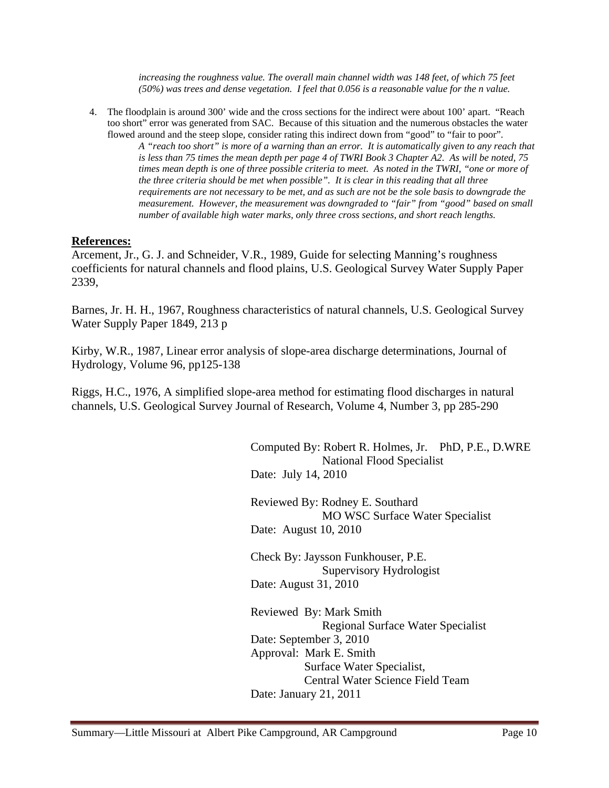increasing the roughness value. The overall main channel width was 148 feet, of which 75 feet *(50%) was trees and dense vegetation. I feel that 0.056 is a reasonable value for the n value.* 

4. The floodplain is around 300' wide and the cross sections for the indirect were about 100' apart. "Reach too short" error was generated from SAC. Because of this situation and the numerous obstacles the water flowed around and the steep slope, consider rating this indirect down from "good" to "fair to poor". *A "reach too short" is more of a warning than an error. It is automatically given to any reach that is less than 75 times the mean depth per page 4 of TWRI Book 3 Chapter A2. As will be noted, 75 times mean depth is one of three possible criteria to meet. As noted in the TWRI, "one or more of the three criteria should be met when possible". It is clear in this reading that all three requirements are not necessary to be met, and as such are not be the sole basis to downgrade the measurement. However, the measurement was downgraded to "fair" from "good" based on small number of available high water marks, only three cross sections, and short reach lengths.* 

#### **References:**

Arcement, Jr., G. J. and Schneider, V.R., 1989, Guide for selecting Manning's roughness coefficients for natural channels and flood plains, U.S. Geological Survey Water Supply Paper 2339,

Barnes, Jr. H. H., 1967, Roughness characteristics of natural channels, U.S. Geological Survey Water Supply Paper 1849, 213 p

Kirby, W.R., 1987, Linear error analysis of slope-area discharge determinations, Journal of Hydrology, Volume 96, pp125-138

Riggs, H.C., 1976, A simplified slope-area method for estimating flood discharges in natural channels, U.S. Geological Survey Journal of Research, Volume 4, Number 3, pp 285-290

> Computed By: Robert R. Holmes, Jr. PhD, P.E., D.WRE National Flood Specialist Date: July 14, 2010

 Reviewed By: Rodney E. Southard MO WSC Surface Water Specialist Date: August 10, 2010

 Check By: Jaysson Funkhouser, P.E. Supervisory Hydrologist Date: August 31, 2010

 Reviewed By: Mark Smith Regional Surface Water Specialist Date: September 3, 2010 Approval: Mark E. Smith Surface Water Specialist, Central Water Science Field Team Date: January 21, 2011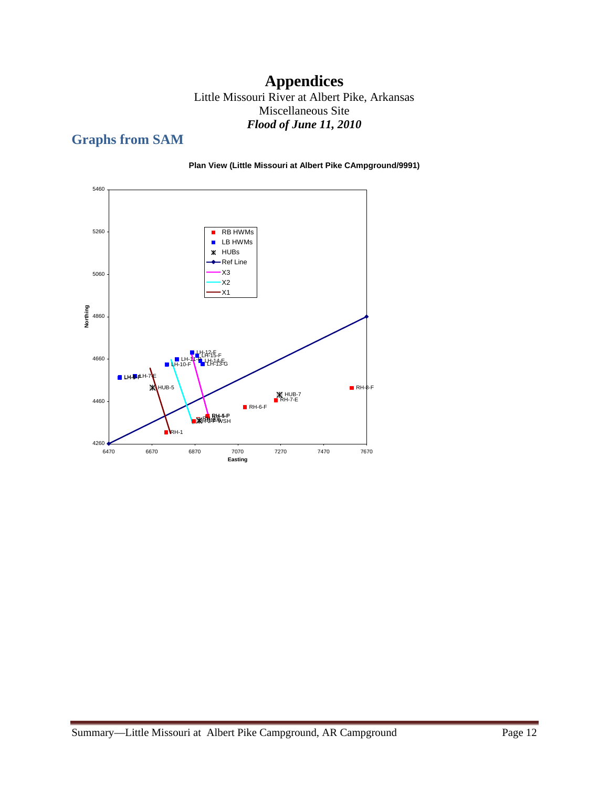# **Appendices**

Little Missouri River at Albert Pike, Arkansas Miscellaneous Site *Flood of June 11, 2010* 

# **Graphs from SAM**



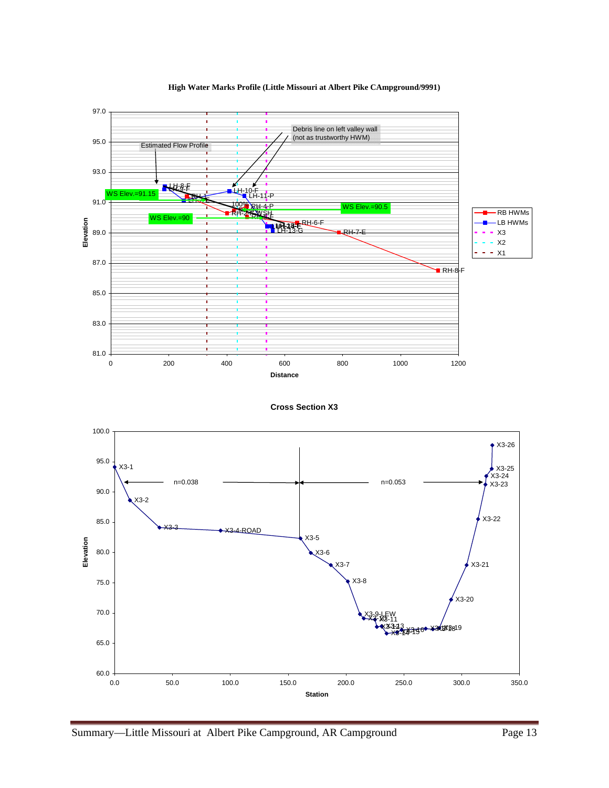

**High Water Marks Profile (Little Missouri at Albert Pike CAmpground/9991)**

**Cross Section X3**

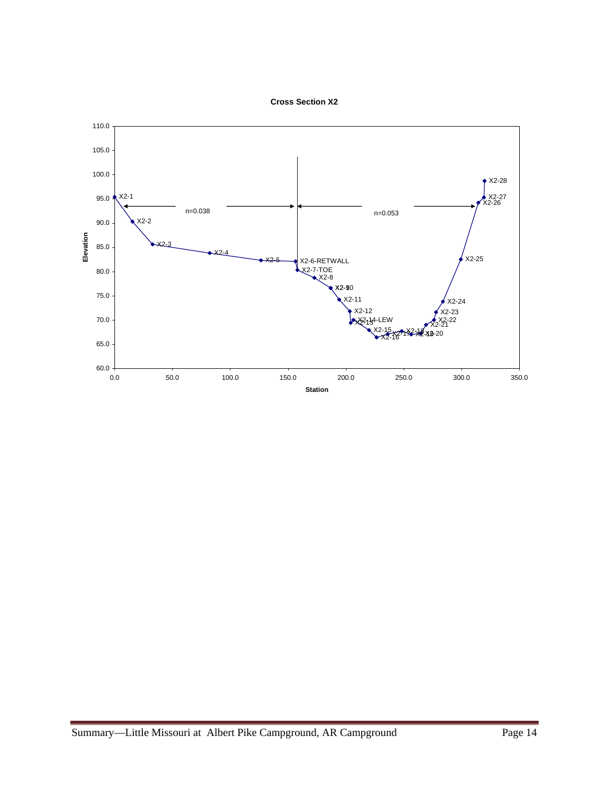

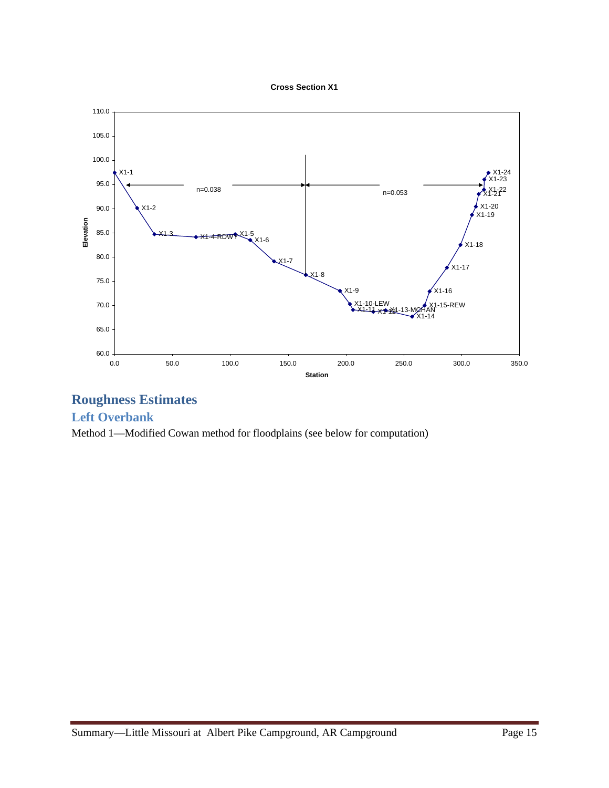



# **Roughness Estimates**

## **Left Overbank**

Method 1—Modified Cowan method for floodplains (see below for computation)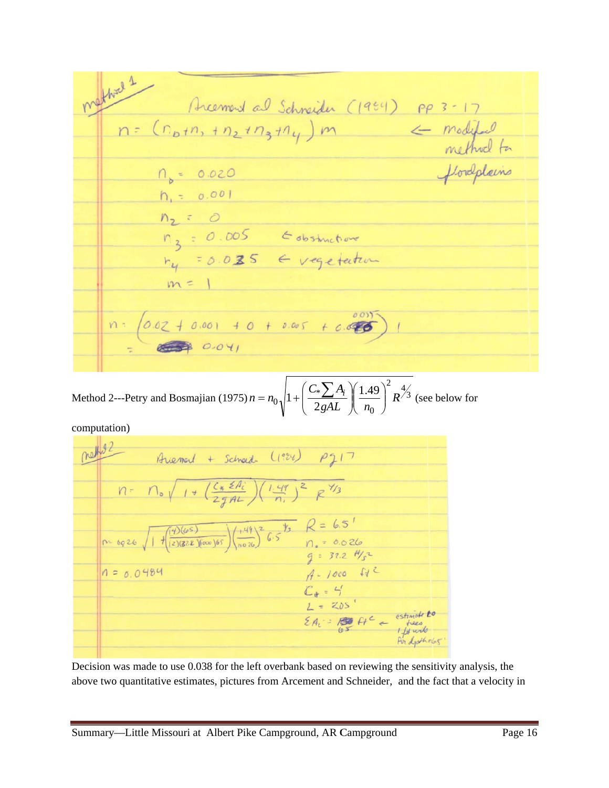method 1 Arcement al Schneider (1994) PP 3-17 Arcement al Schneider (1984) pp 3-17<br>n = (np+n, +nz+nz+ny) m < modified<br>n = 0.020 florefolairs  $h_{1} = 0.001$  $n_2$  = 0  $n_3 = 0.005$  Edistriction  $m = 1$  $n = \begin{pmatrix} 0.02 + 0.001 + 0 + 0.005 + 0.0007 \\ -0.02 + 0.001 + 0.005 + 0.0007 \end{pmatrix}$ 

Method 2---Petry and Bosmajian (1975)  $n = n_0 \sqrt{1 + \left( \frac{C_*}{2} \right)^2}$ 2 1 *gAL*  $C_*$  $A$  $\overline{\phantom{a}}$  $\setminus$  $+\left(\frac{C_*\sum A_i}{2}\right)\left(1.49\right)^2$ 0  $\left(\frac{1.49}{R}\right)^2 R$ *n Ai*  $\overline{\phantom{a}}$  $\bigg)$  $\backslash$  $\overline{\phantom{a}}$  $\setminus$ ſ  $\overline{\phantom{a}}$ J  $\left( \frac{1.49}{R} \right)^2 R^{\frac{4}{3}}$  $R^{3}$  (see below for

computation)

Arresport + School (1984) P217  $n = \bigcap_{o} \sqrt{1 + \left(\frac{c_{*} \le A_{i}}{2 \cdot 2 A_{i}}\right) \left(\frac{1 \cdot 4 A_{i}}{n_{i}}\right)^{2}} \mathcal{R}^{\frac{1}{2}}/3$  $n = 6926 \sqrt{1 + \frac{(4)(65)}{(2)(828)(000)(65)}} \sqrt{\frac{1.49}{0.026}} = 6.5$ <br>  $n_s = 0.026$ <br>  $q = 37.2$  H/z  $A-1000$   $M^2$  $n = 0.0484$  $f_1 = 1000 + 4$ <br>  $C_1 = 4$ <br>  $L = 205$ <br>  $2A_1 = 100$ <br>  $2A_2 = 100$ <br>  $2A_3 = 100$ <br>  $2A_4 = 100$ <br>
For depthets

Decision was made to use 0.038 for the left overbank based on reviewing the sensitivity analysis, the Decision was made to use 0.038 for the left overbank based on reviewing the sensitivity analysis, the above two quantitative estimates, pictures from Arcement and Schneider, and the fact that a velocity in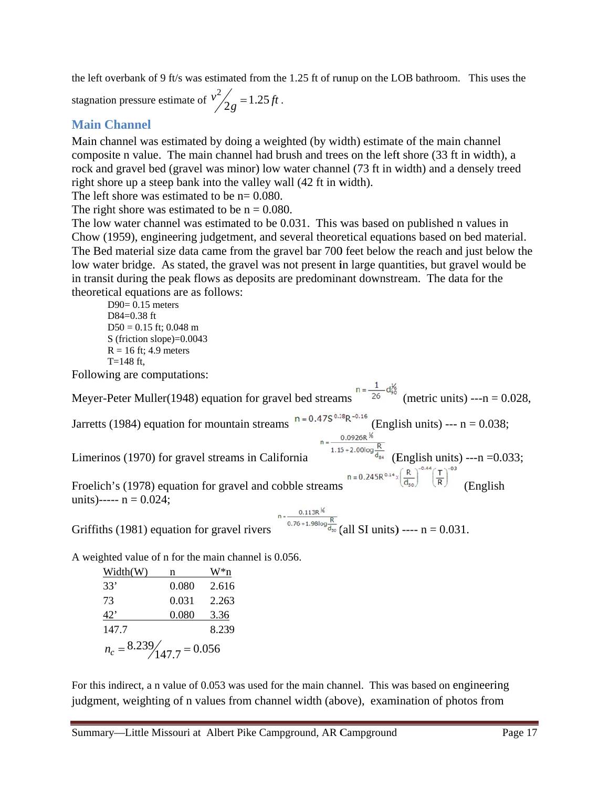the left overbank of 9 ft/s was estimated from the 1.25 ft of runup on the LOB bathroom. This uses the

stagnation pressure estimate of  $v^2/2$  $\frac{2}{2g}$  = 1.25 ft.

## **Main C hannel**

Main channel was estimated by doing a weighted (by width) estimate of the main channel composite n value. The main channel had brush and trees on the left shore (33 ft in width), a rock and gravel bed (gravel was minor) low water channel (73 ft in width) and a densely treed right shore up a steep bank into the valley wall (42 ft in width).

The left shore was estimated to be  $n = 0.080$ .

The right shore was estimated to be  $n = 0.080$ .

The low water channel was estimated to be 0.031. This was based on published n values in Chow (1959), engineering judgetment, and several theoretical equations based on bed material. The Bed material size data came from the gravel bar 700 feet below the reach and just below the low water bridge. As stated, the gravel was not present in large quantities, but gravel would be in transit during the peak flows as deposits are predominant downstream. The data for the theoretical equations are as follows:

D90= 0.15 meters D D84=0.38 ft  $D50 = 0.15$  ft; 0.048 m S (friction slope)=0.0043  $R = 16$  ft; 4.9 meters  $T = 148$  ft,

Following are computations:

Meyer-Peter Muller(1948) equation for gravel bed streams Jarretts (1984) equation for mountain streams  $n = 0.475$  K (English units) --- n = 0.038; Limerinos (1970) for gravel streams in California Froelich's (1978) equation for gravel and cobble streams units)-----  $n = 0.024$ ; Griffiths (1981) equation for gravel rivers (all SI units) ----  $n = 0.031$ .  $(English units) --- n = 0.033;$ (metric units) ---n =  $0.028$ ,  $n = 0.245R^{0.14} \times \left(\frac{R}{d_{50}}\right)^{-0.44} \left(\frac{T}{R}\right)^{-0.3}$  (English

A weighted value of n for the main channel is 0.056.

| Width(W)                      | n     | W*n   |  |  |  |  |  |
|-------------------------------|-------|-------|--|--|--|--|--|
| 33'                           | 0.080 | 2.616 |  |  |  |  |  |
| 73                            | 0.031 | 2.263 |  |  |  |  |  |
| 42'                           | 0.080 | 3.36  |  |  |  |  |  |
| 147.7                         |       | 8.239 |  |  |  |  |  |
| $n_c = 8.239 / 147.7 = 0.056$ |       |       |  |  |  |  |  |

For this indirect, a n value of 0.053 was used for the main channel. This was based on engineering judgment, weighting of n values from channel width (above), examination of photos from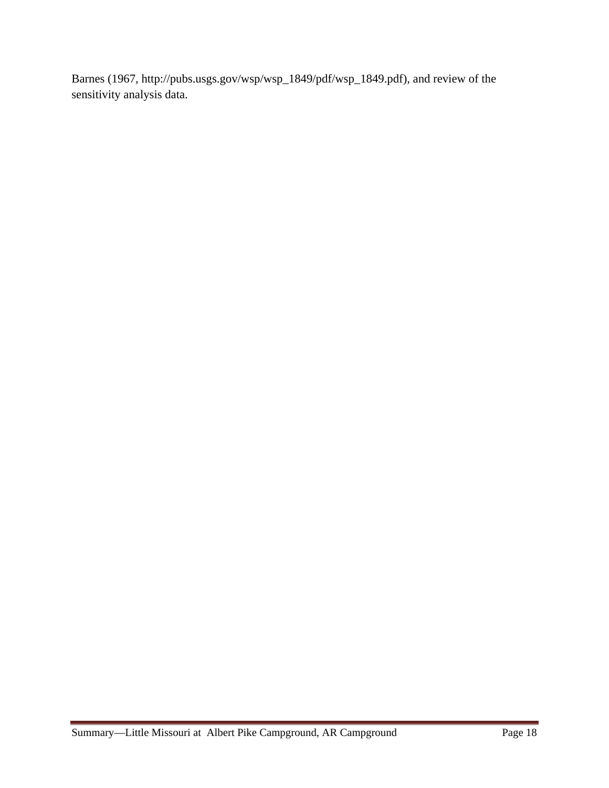Barnes (1967, http://pubs.usgs.gov/wsp/wsp\_1849/pdf/wsp\_1849.pdf), and review of the sensitivity analysis data.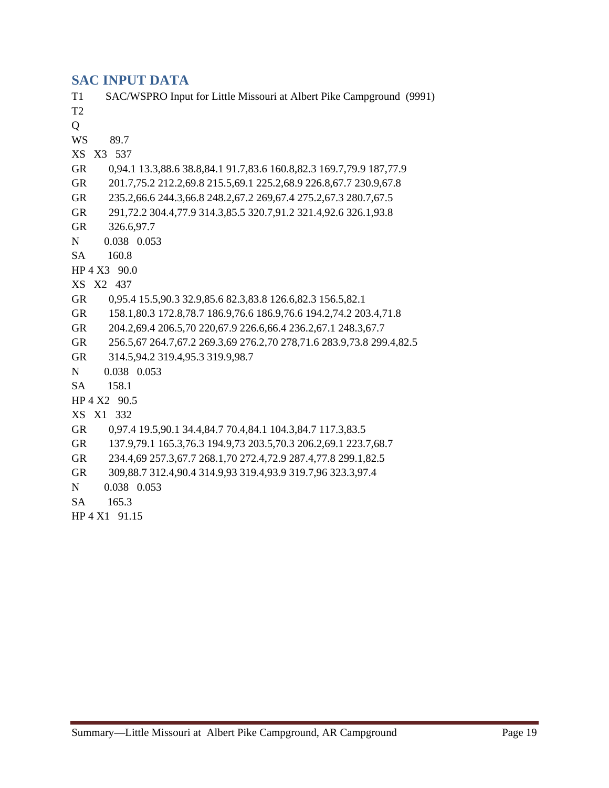### **SAC INPUT DATA**

T1 SAC/WSPRO Input for Little Missouri at Albert Pike Campground (9991) T2 Q WS 89.7 XS X3 537 GR 0,94.1 13.3,88.6 38.8,84.1 91.7,83.6 160.8,82.3 169.7,79.9 187,77.9 GR 201.7,75.2 212.2,69.8 215.5,69.1 225.2,68.9 226.8,67.7 230.9,67.8 GR 235.2,66.6 244.3,66.8 248.2,67.2 269,67.4 275.2,67.3 280.7,67.5 GR 291,72.2 304.4,77.9 314.3,85.5 320.7,91.2 321.4,92.6 326.1,93.8 GR 326.6,97.7 N 0.038 0.053 SA 160.8 HP 4 X3 90.0 XS X2 437 GR 0,95.4 15.5,90.3 32.9,85.6 82.3,83.8 126.6,82.3 156.5,82.1 GR 158.1,80.3 172.8,78.7 186.9,76.6 186.9,76.6 194.2,74.2 203.4,71.8 GR 204.2,69.4 206.5,70 220,67.9 226.6,66.4 236.2,67.1 248.3,67.7 GR 256.5,67 264.7,67.2 269.3,69 276.2,70 278,71.6 283.9,73.8 299.4,82.5 GR 314.5,94.2 319.4,95.3 319.9,98.7 N 0.038 0.053 SA 158.1 HP 4 X2 90.5 XS X1 332 GR 0,97.4 19.5,90.1 34.4,84.7 70.4,84.1 104.3,84.7 117.3,83.5 GR 137.9,79.1 165.3,76.3 194.9,73 203.5,70.3 206.2,69.1 223.7,68.7 GR 234.4,69 257.3,67.7 268.1,70 272.4,72.9 287.4,77.8 299.1,82.5 GR 309,88.7 312.4,90.4 314.9,93 319.4,93.9 319.7,96 323.3,97.4 N 0.038 0.053 SA 165.3 HP 4 X1 91.15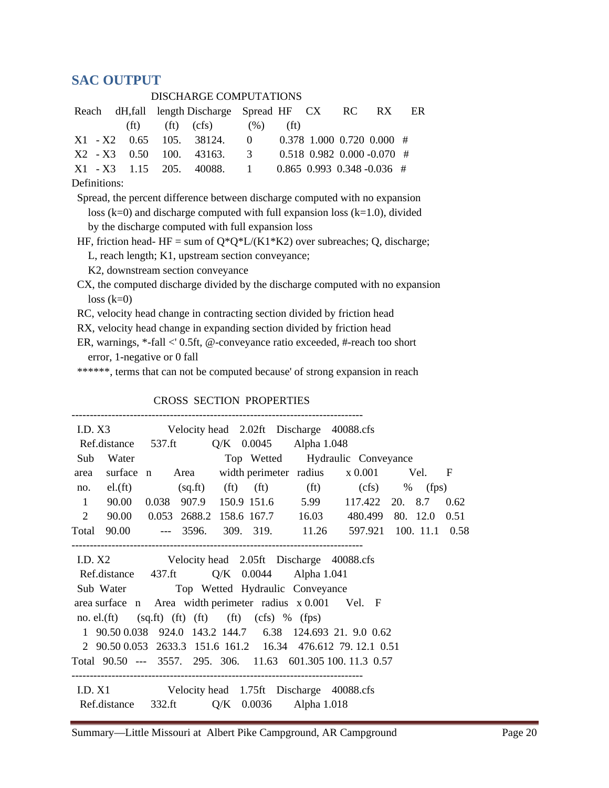## **SAC OUTPUT**

| DISCHARGE COMPUTATIONS                 |  |  |  |                                                         |  |  |  |  |  |  |  |
|----------------------------------------|--|--|--|---------------------------------------------------------|--|--|--|--|--|--|--|
|                                        |  |  |  | Reach dH, fall length Discharge Spread HF CX RC RX ER   |  |  |  |  |  |  |  |
|                                        |  |  |  | (ft) (ft) (cfs) $(\%)$ (ft)                             |  |  |  |  |  |  |  |
|                                        |  |  |  | $X1 - X2$ 0.65 105. 38124. 0 0.378 1.000 0.720 0.000 #  |  |  |  |  |  |  |  |
|                                        |  |  |  | $X2 - X3$ 0.50 100. 43163. 3 0.518 0.982 0.000 -0.070 # |  |  |  |  |  |  |  |
|                                        |  |  |  | $X1 - X3$ 1.15 205. 40088. 1 0.865 0.993 0.348 -0.036 # |  |  |  |  |  |  |  |
| $\mathbf{r}$ $\mathbf{r}$ $\mathbf{r}$ |  |  |  |                                                         |  |  |  |  |  |  |  |

Definitions:

 Spread, the percent difference between discharge computed with no expansion loss ( $k=0$ ) and discharge computed with full expansion loss ( $k=1.0$ ), divided by the discharge computed with full expansion loss

HF, friction head- HF = sum of  $Q^*Q^*L/(K1*K2)$  over subreaches; Q, discharge;

L, reach length; K1, upstream section conveyance;

K2, downstream section conveyance

 CX, the computed discharge divided by the discharge computed with no expansion  $loss (k=0)$ 

RC, velocity head change in contracting section divided by friction head

RX, velocity head change in expanding section divided by friction head

 ER, warnings, \*-fall <' 0.5ft, @-conveyance ratio exceeded, #-reach too short error, 1-negative or 0 fall

\*\*\*\*\*\*, terms that can not be computed because' of strong expansion in reach

|      | I.D. X3                                             |  |  | Velocity head 2.02ft Discharge 40088.cfs                     |  |      |
|------|-----------------------------------------------------|--|--|--------------------------------------------------------------|--|------|
|      | Ref.distance 537.ft Q/K 0.0045 Alpha 1.048          |  |  |                                                              |  |      |
| Sub  | Water                                               |  |  | Top Wetted Hydraulic Conveyance                              |  |      |
| area |                                                     |  |  | surface n Area width perimeter radius x 0.001 Vel. F         |  |      |
|      |                                                     |  |  | no. el.(ft) $(sq.ft)$ (ft) (ft) (ft) (ft) (cfs) % (fps)      |  |      |
|      |                                                     |  |  | 1 90.00 0.038 907.9 150.9 151.6 5.99 117.422 20. 8.7         |  | 0.62 |
|      |                                                     |  |  | 2 90.00 0.053 2688.2 158.6 167.7 16.03 480.499 80. 12.0 0.51 |  |      |
|      |                                                     |  |  | Total 90.00 --- 3596. 309. 319. 11.26 597.921 100. 11.1 0.58 |  |      |
|      |                                                     |  |  |                                                              |  |      |
|      |                                                     |  |  | I.D. X2 Velocity head 2.05ft Discharge 40088.cfs             |  |      |
|      | Ref.distance 437.ft Q/K 0.0044 Alpha 1.041          |  |  |                                                              |  |      |
|      | Sub Water Top Wetted Hydraulic Conveyance           |  |  |                                                              |  |      |
|      |                                                     |  |  | area surface n Area width perimeter radius x 0.001 Vel. F    |  |      |
|      | no. el.(ft) $(sq.fit)$ (ft) (ft) (ft) (cfs) % (fps) |  |  |                                                              |  |      |
|      |                                                     |  |  | 1 90.50 0.038 924.0 143.2 144.7 6.38 124.693 21. 9.0 0.62    |  |      |
|      |                                                     |  |  | 2 90.50 0.053 2633.3 151.6 161.2 16.34 476.612 79.12.1 0.51  |  |      |
|      |                                                     |  |  | Total 90.50 --- 3557. 295. 306. 11.63 601.305 100.11.3 0.57  |  |      |
|      |                                                     |  |  |                                                              |  |      |
|      |                                                     |  |  | I.D. X1 Velocity head 1.75ft Discharge 40088.cfs             |  |      |
|      | Ref.distance 332.ft Q/K 0.0036 Alpha 1.018          |  |  |                                                              |  |      |

CROSS SECTION PROPERTIES